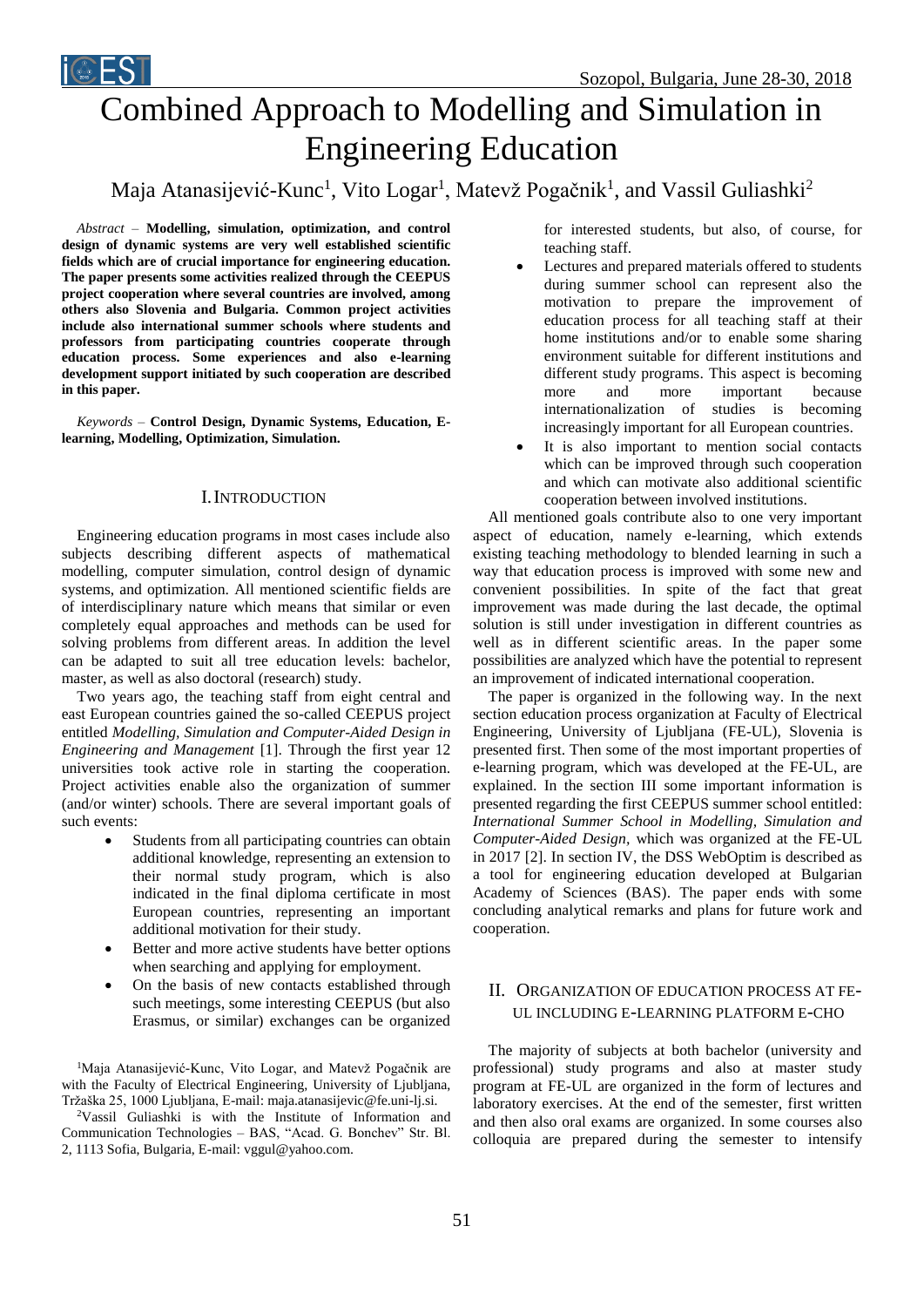

# Maja Atanasijević-Kunc<sup>1</sup>, Vito Logar<sup>1</sup>, Matevž Pogačnik<sup>1</sup>, and Vassil Guliashki<sup>2</sup>

*Abstract –* **Modelling, simulation, optimization, and control design of dynamic systems are very well established scientific fields which are of crucial importance for engineering education. The paper presents some activities realized through the CEEPUS project cooperation where several countries are involved, among others also Slovenia and Bulgaria. Common project activities include also international summer schools where students and professors from participating countries cooperate through education process. Some experiences and also e-learning development support initiated by such cooperation are described in this paper.**

iCEST

*Keywords –* **Control Design, Dynamic Systems, Education, Elearning, Modelling, Optimization, Simulation.**

### I.INTRODUCTION

Engineering education programs in most cases include also subjects describing different aspects of mathematical modelling, computer simulation, control design of dynamic systems, and optimization. All mentioned scientific fields are of interdisciplinary nature which means that similar or even completely equal approaches and methods can be used for solving problems from different areas. In addition the level can be adapted to suit all tree education levels: bachelor, master, as well as also doctoral (research) study.

Two years ago, the teaching staff from eight central and east European countries gained the so-called CEEPUS project entitled *Modelling, Simulation and Computer-Aided Design in Engineering and Management* [1]. Through the first year 12 universities took active role in starting the cooperation. Project activities enable also the organization of summer (and/or winter) schools. There are several important goals of such events:

- Students from all participating countries can obtain additional knowledge, representing an extension to their normal study program, which is also indicated in the final diploma certificate in most European countries, representing an important additional motivation for their study.
- Better and more active students have better options when searching and applying for employment.
- On the basis of new contacts established through such meetings, some interesting CEEPUS (but also Erasmus, or similar) exchanges can be organized

<sup>1</sup>Maja Atanasijević-Kunc, Vito Logar, and Matevž Pogačnik are with the Faculty of Electrical Engineering, University of Ljubljana, Tržaška 25, 1000 Ljubljana, E-mail[: maja.atanasijevic@fe.uni-lj.si.](mailto:maja.atanasijevic@fe.uni-lj.si)

<sup>2</sup>Vassil Guliashki is with the Institute of Information and Communication Technologies – BAS, "Acad. G. Bonchev" Str. Bl. 2, 1113 Sofia, Bulgaria, E-mail: vggul@yahoo.com.

for interested students, but also, of course, for teaching staff.

- Lectures and prepared materials offered to students during summer school can represent also the motivation to prepare the improvement of education process for all teaching staff at their home institutions and/or to enable some sharing environment suitable for different institutions and different study programs. This aspect is becoming more and more important because internationalization of studies is becoming increasingly important for all European countries.
- It is also important to mention social contacts which can be improved through such cooperation and which can motivate also additional scientific cooperation between involved institutions.

All mentioned goals contribute also to one very important aspect of education, namely e-learning, which extends existing teaching methodology to blended learning in such a way that education process is improved with some new and convenient possibilities. In spite of the fact that great improvement was made during the last decade, the optimal solution is still under investigation in different countries as well as in different scientific areas. In the paper some possibilities are analyzed which have the potential to represent an improvement of indicated international cooperation.

The paper is organized in the following way. In the next section education process organization at Faculty of Electrical Engineering, University of Ljubljana (FE-UL), Slovenia is presented first. Then some of the most important properties of e-learning program, which was developed at the FE-UL, are explained. In the section III some important information is presented regarding the first CEEPUS summer school entitled: *International Summer School in Modelling, Simulation and Computer-Aided Design,* which was organized at the FE-UL in 2017 [2]. In section IV, the DSS WebOptim is described as a tool for engineering education developed at Bulgarian Academy of Sciences (BAS). The paper ends with some concluding analytical remarks and plans for future work and cooperation.

## II. ORGANIZATION OF EDUCATION PROCESS AT FE-UL INCLUDING E-LEARNING PLATFORM E-CHO

The majority of subjects at both bachelor (university and professional) study programs and also at master study program at FE-UL are organized in the form of lectures and laboratory exercises. At the end of the semester, first written and then also oral exams are organized. In some courses also colloquia are prepared during the semester to intensify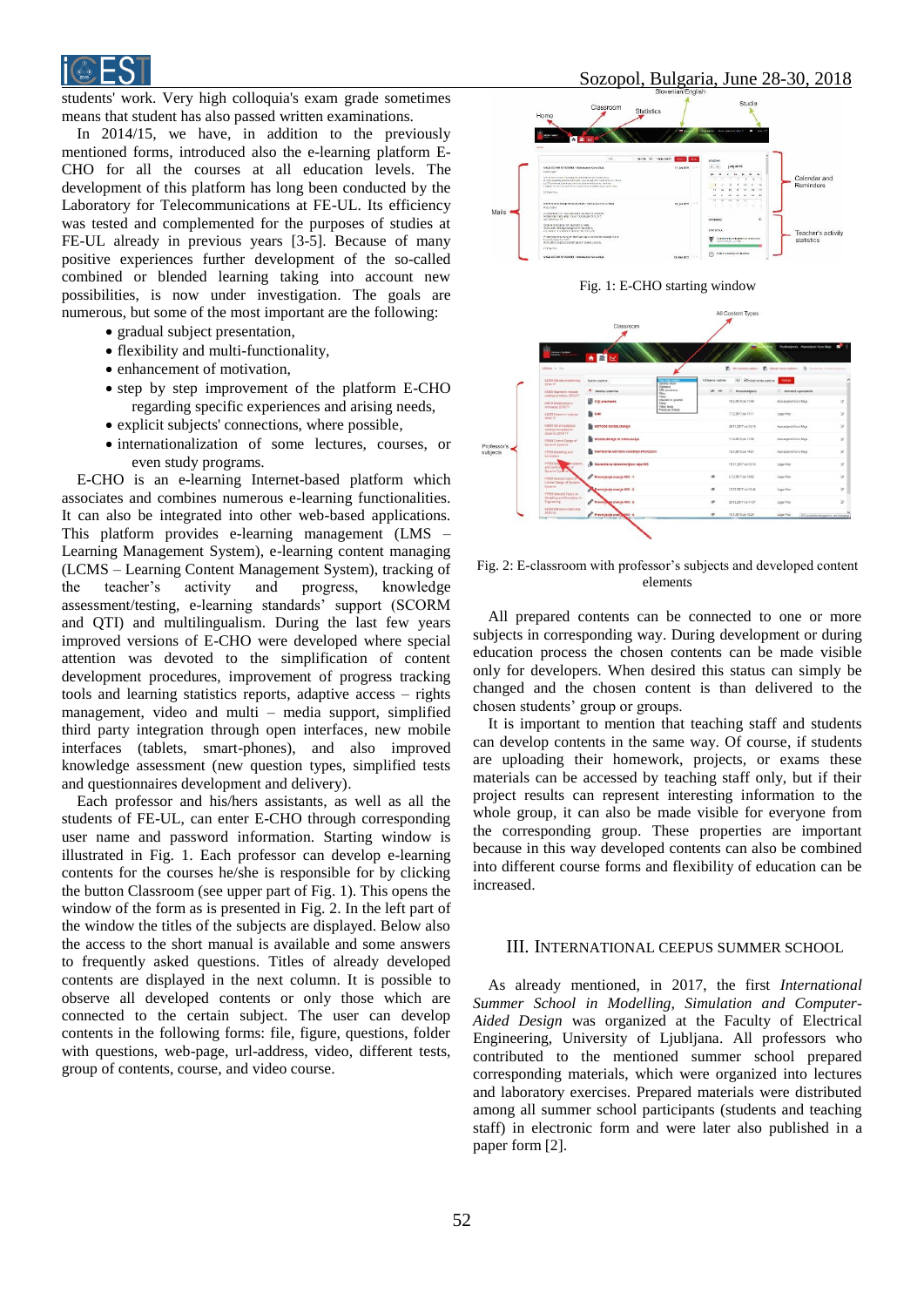

students' work. Very high colloquia's exam grade sometimes means that student has also passed written examinations.

In 2014/15, we have, in addition to the previously mentioned forms, introduced also the e-learning platform E-CHO for all the courses at all education levels. The development of this platform has long been conducted by the Laboratory for Telecommunications at FE-UL. Its efficiency was tested and complemented for the purposes of studies at FE-UL already in previous years [3-5]. Because of many positive experiences further development of the so-called combined or blended learning taking into account new possibilities, is now under investigation. The goals are numerous, but some of the most important are the following:

- gradual subject presentation,
- flexibility and multi-functionality,
- enhancement of motivation,
- step by step improvement of the platform E-CHO regarding specific experiences and arising needs,
- explicit subjects' connections, where possible,
- $\bullet$  internationalization of some lectures, courses, or even study programs.

E-CHO is an e-learning Internet-based platform which associates and combines numerous e-learning functionalities. It can also be integrated into other web-based applications. This platform provides e-learning management (LMS – Learning Management System), e-learning content managing (LCMS – Learning Content Management System), tracking of the teacher's activity and progress, knowledge assessment/testing, e-learning standards' support (SCORM and QTI) and multilingualism. During the last few years improved versions of E-CHO were developed where special attention was devoted to the simplification of content development procedures, improvement of progress tracking tools and learning statistics reports, adaptive access – rights management, video and multi – media support, simplified third party integration through open interfaces, new mobile interfaces (tablets, smart-phones), and also improved knowledge assessment (new question types, simplified tests and questionnaires development and delivery).

Each professor and his/hers assistants, as well as all the students of FE-UL, can enter E-CHO through corresponding user name and password information. Starting window is illustrated in Fig. 1. Each professor can develop e-learning contents for the courses he/she is responsible for by clicking the button Classroom (see upper part of Fig. 1). This opens the window of the form as is presented in Fig. 2. In the left part of the window the titles of the subjects are displayed. Below also the access to the short manual is available and some answers to frequently asked questions. Titles of already developed contents are displayed in the next column. It is possible to observe all developed contents or only those which are connected to the certain subject. The user can develop contents in the following forms: file, figure, questions, folder with questions, web-page, url-address, video, different tests, group of contents, course, and video course.







Fig. 2: E-classroom with professor's subjects and developed content elements

All prepared contents can be connected to one or more subjects in corresponding way. During development or during education process the chosen contents can be made visible only for developers. When desired this status can simply be changed and the chosen content is than delivered to the chosen students' group or groups.

It is important to mention that teaching staff and students can develop contents in the same way. Of course, if students are uploading their homework, projects, or exams these materials can be accessed by teaching staff only, but if their project results can represent interesting information to the whole group, it can also be made visible for everyone from the corresponding group. These properties are important because in this way developed contents can also be combined into different course forms and flexibility of education can be increased.

### III. INTERNATIONAL CEEPUS SUMMER SCHOOL

As already mentioned, in 2017, the first *International Summer School in Modelling, Simulation and Computer-Aided Design* was organized at the Faculty of Electrical Engineering, University of Ljubljana. All professors who contributed to the mentioned summer school prepared corresponding materials, which were organized into lectures and laboratory exercises. Prepared materials were distributed among all summer school participants (students and teaching staff) in electronic form and were later also published in a paper form [2].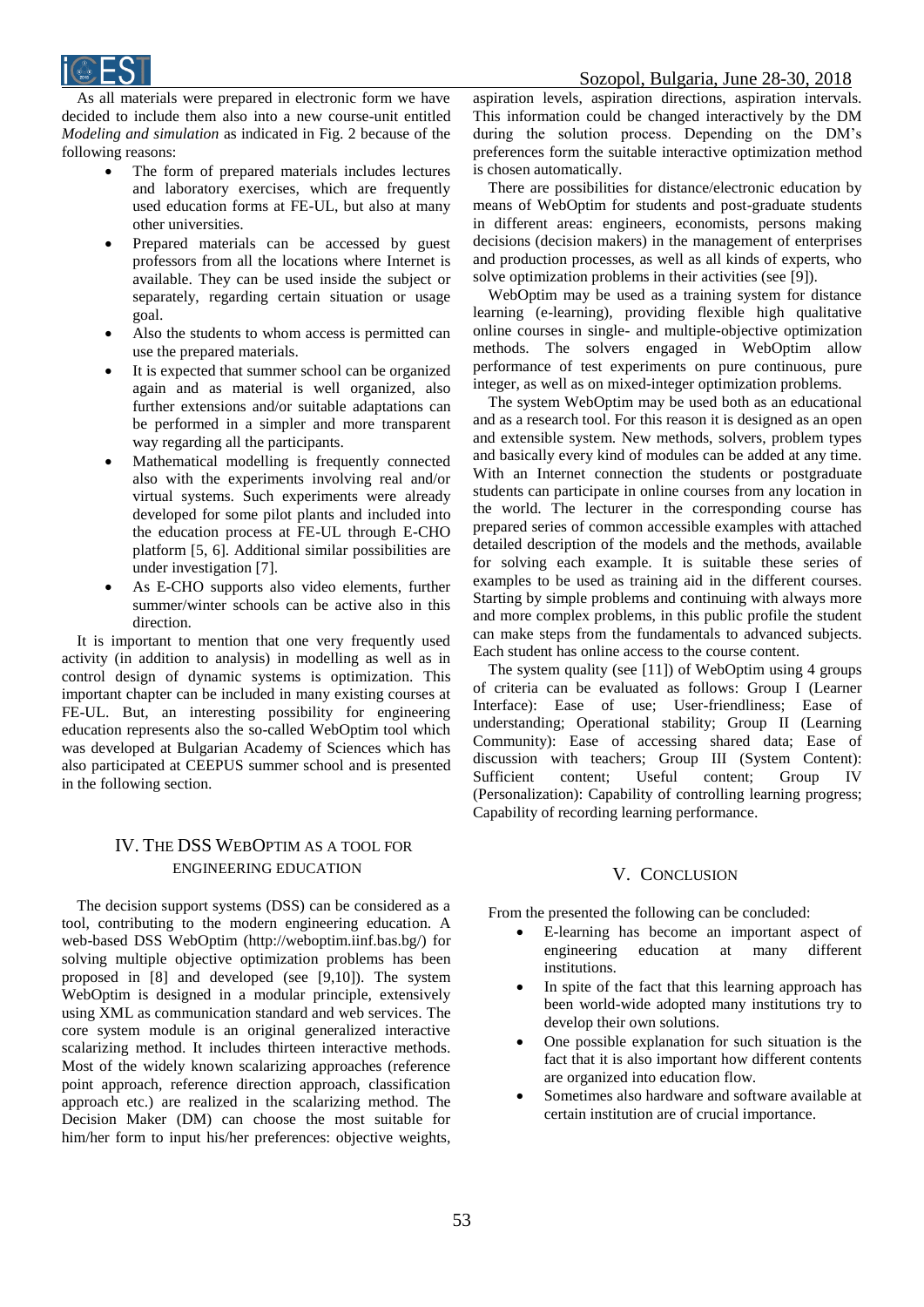

As all materials were prepared in electronic form we have decided to include them also into a new course-unit entitled *Modeling and simulation* as indicated in Fig. 2 because of the following reasons:

- The form of prepared materials includes lectures and laboratory exercises, which are frequently used education forms at FE-UL, but also at many other universities.
- Prepared materials can be accessed by guest professors from all the locations where Internet is available. They can be used inside the subject or separately, regarding certain situation or usage goal.
- Also the students to whom access is permitted can use the prepared materials.
- It is expected that summer school can be organized again and as material is well organized, also further extensions and/or suitable adaptations can be performed in a simpler and more transparent way regarding all the participants.
- Mathematical modelling is frequently connected also with the experiments involving real and/or virtual systems. Such experiments were already developed for some pilot plants and included into the education process at FE-UL through E-CHO platform [5, 6]. Additional similar possibilities are under investigation [7].
- As E-CHO supports also video elements, further summer/winter schools can be active also in this direction.

It is important to mention that one very frequently used activity (in addition to analysis) in modelling as well as in control design of dynamic systems is optimization. This important chapter can be included in many existing courses at FE-UL. But, an interesting possibility for engineering education represents also the so-called WebOptim tool which was developed at Bulgarian Academy of Sciences which has also participated at CEEPUS summer school and is presented in the following section.

# IV. THE DSS WEBOPTIM AS A TOOL FOR ENGINEERING EDUCATION

The decision support systems (DSS) can be considered as a tool, contributing to the modern engineering education. A web-based DSS WebOptim (http://weboptim.iinf.bas.bg/) for solving multiple objective optimization problems has been proposed in [8] and developed (see [9,10]). The system WebOptim is designed in a modular principle, extensively using XML as communication standard and web services. The core system module is an original generalized interactive scalarizing method. It includes thirteen interactive methods. Most of the widely known scalarizing approaches (reference point approach, reference direction approach, classification approach etc.) are realized in the scalarizing method. The Decision Maker (DM) can choose the most suitable for him/her form to input his/her preferences: objective weights,

aspiration levels, aspiration directions, aspiration intervals. This information could be changed interactively by the DM during the solution process. Depending on the DM's preferences form the suitable interactive optimization method is chosen automatically.

There are possibilities for distance/electronic education by means of WebOptim for students and post-graduate students in different areas: engineers, economists, persons making decisions (decision makers) in the management of enterprises and production processes, as well as all kinds of experts, who solve optimization problems in their activities (see [9]).

WebOptim may be used as a training system for distance learning (e-learning), providing flexible high qualitative online courses in single- and multiple-objective optimization methods. The solvers engaged in WebOptim allow performance of test experiments on pure continuous, pure integer, as well as on mixed-integer optimization problems.

The system WebOptim may be used both as an educational and as a research tool. For this reason it is designed as an open and extensible system. New methods, solvers, problem types and basically every kind of modules can be added at any time. With an Internet connection the students or postgraduate students can participate in online courses from any location in the world. The lecturer in the corresponding course has prepared series of common accessible examples with attached detailed description of the models and the methods, available for solving each example. It is suitable these series of examples to be used as training aid in the different courses. Starting by simple problems and continuing with always more and more complex problems, in this public profile the student can make steps from the fundamentals to advanced subjects. Each student has online access to the course content.

The system quality (see [11]) of WebOptim using 4 groups of criteria can be evaluated as follows: Group I (Learner Interface): Ease of use; User-friendliness; Ease of understanding; Operational stability; Group II (Learning Community): Ease of accessing shared data; Ease of discussion with teachers; Group III (System Content): Sufficient content; Useful content; Group IV (Personalization): Capability of controlling learning progress; Capability of recording learning performance.

### V. CONCLUSION

From the presented the following can be concluded:

- E-learning has become an important aspect of engineering education at many different institutions.
- In spite of the fact that this learning approach has been world-wide adopted many institutions try to develop their own solutions.
- One possible explanation for such situation is the fact that it is also important how different contents are organized into education flow.
- Sometimes also hardware and software available at certain institution are of crucial importance.